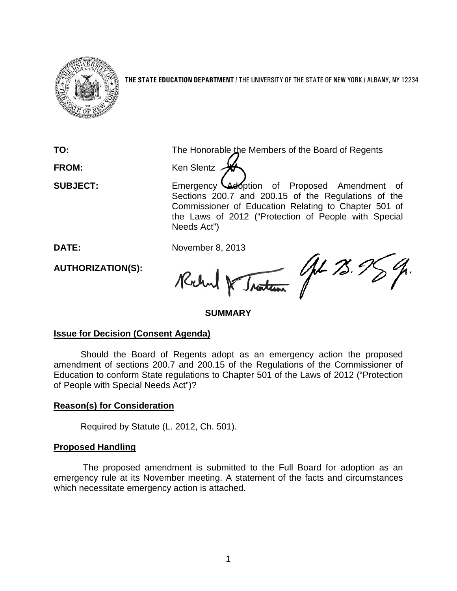

**THE STATE EDUCATION DEPARTMENT** / THE UNIVERSITY OF THE STATE OF NEW YORK / ALBANY, NY 12234

**FROM:** Ken Slentz A

**TO:** The Honorable the Members of the Board of Regents

**SUBJECT:** Emergency Ladoption of Proposed Amendment of Sections 200.7 and 200.15 of the Regulations of the Commissioner of Education Relating to Chapter 501 of the Laws of 2012 ("Protection of People with Special Needs Act")

**AUTHORIZATION(S):**

DATE: November 8, 2013<br>AUTHORIZATION(S): Reclay of Jantessie 11 13.5 Rochal &

## **SUMMARY**

## **Issue for Decision (Consent Agenda)**

Should the Board of Regents adopt as an emergency action the proposed amendment of sections 200.7 and 200.15 of the Regulations of the Commissioner of Education to conform State regulations to Chapter 501 of the Laws of 2012 ("Protection of People with Special Needs Act")?

# **Reason(s) for Consideration**

Required by Statute (L. 2012, Ch. 501).

## **Proposed Handling**

The proposed amendment is submitted to the Full Board for adoption as an emergency rule at its November meeting. A statement of the facts and circumstances which necessitate emergency action is attached.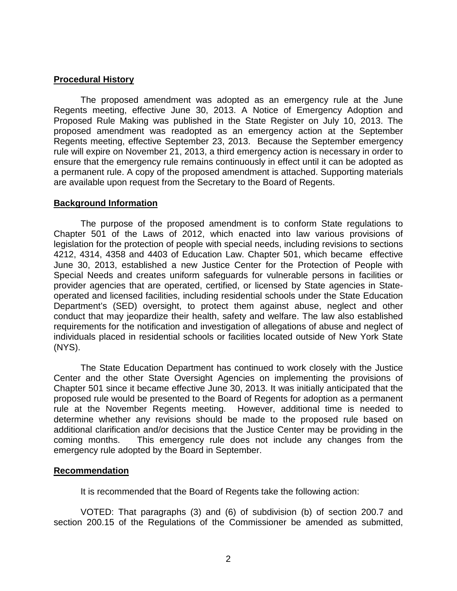## **Procedural History**

The proposed amendment was adopted as an emergency rule at the June Regents meeting, effective June 30, 2013. A Notice of Emergency Adoption and Proposed Rule Making was published in the State Register on July 10, 2013. The proposed amendment was readopted as an emergency action at the September Regents meeting, effective September 23, 2013. Because the September emergency rule will expire on November 21, 2013, a third emergency action is necessary in order to ensure that the emergency rule remains continuously in effect until it can be adopted as a permanent rule. A copy of the proposed amendment is attached. Supporting materials are available upon request from the Secretary to the Board of Regents.

## **Background Information**

The purpose of the proposed amendment is to conform State regulations to Chapter 501 of the Laws of 2012, which enacted into law various provisions of legislation for the protection of people with special needs, including revisions to sections 4212, 4314, 4358 and 4403 of Education Law. Chapter 501, which became effective June 30, 2013, established a new Justice Center for the Protection of People with Special Needs and creates uniform safeguards for vulnerable persons in facilities or provider agencies that are operated, certified, or licensed by State agencies in Stateoperated and licensed facilities, including residential schools under the State Education Department's (SED) oversight, to protect them against abuse, neglect and other conduct that may jeopardize their health, safety and welfare. The law also established requirements for the notification and investigation of allegations of abuse and neglect of individuals placed in residential schools or facilities located outside of New York State (NYS).

The State Education Department has continued to work closely with the Justice Center and the other State Oversight Agencies on implementing the provisions of Chapter 501 since it became effective June 30, 2013. It was initially anticipated that the proposed rule would be presented to the Board of Regents for adoption as a permanent rule at the November Regents meeting. However, additional time is needed to determine whether any revisions should be made to the proposed rule based on additional clarification and/or decisions that the Justice Center may be providing in the coming months. This emergency rule does not include any changes from the emergency rule adopted by the Board in September.

### **Recommendation**

It is recommended that the Board of Regents take the following action:

VOTED: That paragraphs (3) and (6) of subdivision (b) of section 200.7 and section 200.15 of the Regulations of the Commissioner be amended as submitted,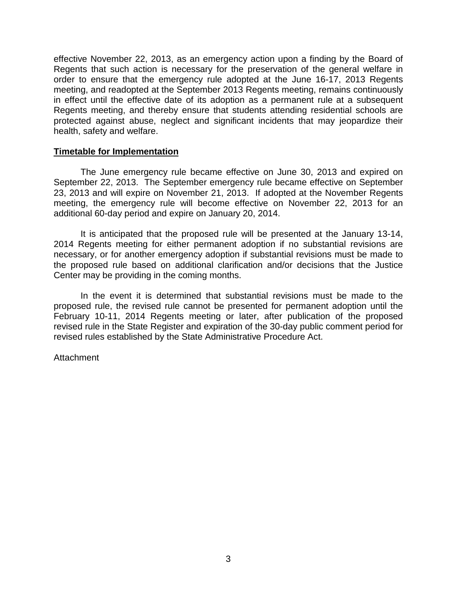effective November 22, 2013, as an emergency action upon a finding by the Board of Regents that such action is necessary for the preservation of the general welfare in order to ensure that the emergency rule adopted at the June 16-17, 2013 Regents meeting, and readopted at the September 2013 Regents meeting, remains continuously in effect until the effective date of its adoption as a permanent rule at a subsequent Regents meeting, and thereby ensure that students attending residential schools are protected against abuse, neglect and significant incidents that may jeopardize their health, safety and welfare.

### **Timetable for Implementation**

The June emergency rule became effective on June 30, 2013 and expired on September 22, 2013. The September emergency rule became effective on September 23, 2013 and will expire on November 21, 2013. If adopted at the November Regents meeting, the emergency rule will become effective on November 22, 2013 for an additional 60-day period and expire on January 20, 2014.

It is anticipated that the proposed rule will be presented at the January 13-14, 2014 Regents meeting for either permanent adoption if no substantial revisions are necessary, or for another emergency adoption if substantial revisions must be made to the proposed rule based on additional clarification and/or decisions that the Justice Center may be providing in the coming months.

In the event it is determined that substantial revisions must be made to the proposed rule, the revised rule cannot be presented for permanent adoption until the February 10-11, 2014 Regents meeting or later, after publication of the proposed revised rule in the State Register and expiration of the 30-day public comment period for revised rules established by the State Administrative Procedure Act.

#### **Attachment**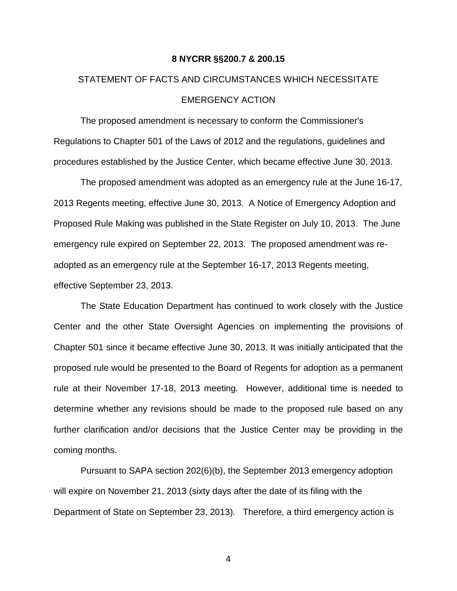#### **8 NYCRR §§200.7 & 200.15**

# STATEMENT OF FACTS AND CIRCUMSTANCES WHICH NECESSITATE EMERGENCY ACTION

The proposed amendment is necessary to conform the Commissioner's Regulations to Chapter 501 of the Laws of 2012 and the regulations, guidelines and procedures established by the Justice Center, which became effective June 30, 2013.

The proposed amendment was adopted as an emergency rule at the June 16-17, 2013 Regents meeting, effective June 30, 2013. A Notice of Emergency Adoption and Proposed Rule Making was published in the State Register on July 10, 2013. The June emergency rule expired on September 22, 2013. The proposed amendment was readopted as an emergency rule at the September 16-17, 2013 Regents meeting, effective September 23, 2013.

The State Education Department has continued to work closely with the Justice Center and the other State Oversight Agencies on implementing the provisions of Chapter 501 since it became effective June 30, 2013. It was initially anticipated that the proposed rule would be presented to the Board of Regents for adoption as a permanent rule at their November 17-18, 2013 meeting. However, additional time is needed to determine whether any revisions should be made to the proposed rule based on any further clarification and/or decisions that the Justice Center may be providing in the coming months.

Pursuant to SAPA section 202(6)(b), the September 2013 emergency adoption will expire on November 21, 2013 (sixty days after the date of its filing with the Department of State on September 23, 2013). Therefore, a third emergency action is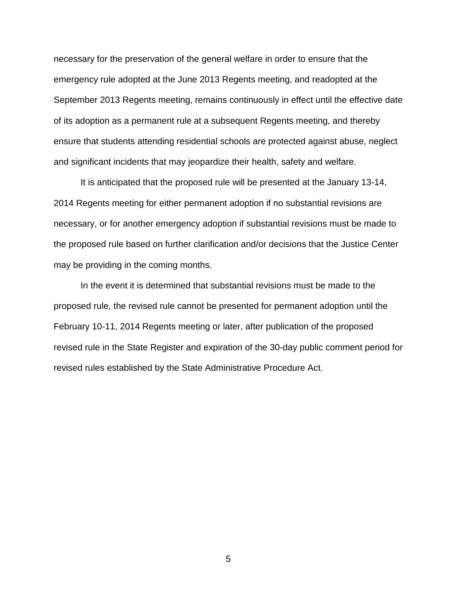necessary for the preservation of the general welfare in order to ensure that the emergency rule adopted at the June 2013 Regents meeting, and readopted at the September 2013 Regents meeting, remains continuously in effect until the effective date of its adoption as a permanent rule at a subsequent Regents meeting, and thereby ensure that students attending residential schools are protected against abuse, neglect and significant incidents that may jeopardize their health, safety and welfare.

It is anticipated that the proposed rule will be presented at the January 13-14, 2014 Regents meeting for either permanent adoption if no substantial revisions are necessary, or for another emergency adoption if substantial revisions must be made to the proposed rule based on further clarification and/or decisions that the Justice Center may be providing in the coming months.

In the event it is determined that substantial revisions must be made to the proposed rule, the revised rule cannot be presented for permanent adoption until the February 10-11, 2014 Regents meeting or later, after publication of the proposed revised rule in the State Register and expiration of the 30-day public comment period for revised rules established by the State Administrative Procedure Act.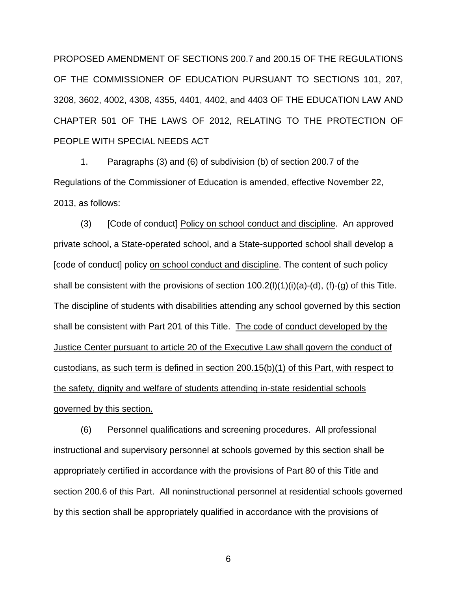PROPOSED AMENDMENT OF SECTIONS 200.7 and 200.15 OF THE REGULATIONS OF THE COMMISSIONER OF EDUCATION PURSUANT TO SECTIONS 101, 207, 3208, 3602, 4002, 4308, 4355, 4401, 4402, and 4403 OF THE EDUCATION LAW AND CHAPTER 501 OF THE LAWS OF 2012, RELATING TO THE PROTECTION OF PEOPLE WITH SPECIAL NEEDS ACT

1. Paragraphs (3) and (6) of subdivision (b) of section 200.7 of the Regulations of the Commissioner of Education is amended, effective November 22, 2013, as follows:

(3) [Code of conduct] Policy on school conduct and discipline. An approved private school, a State-operated school, and a State-supported school shall develop a [code of conduct] policy on school conduct and discipline. The content of such policy shall be consistent with the provisions of section  $100.2(1)(1)(i)(a)-(d)$ , (f)-(g) of this Title. The discipline of students with disabilities attending any school governed by this section shall be consistent with Part 201 of this Title. The code of conduct developed by the Justice Center pursuant to article 20 of the Executive Law shall govern the conduct of custodians, as such term is defined in section 200.15(b)(1) of this Part, with respect to the safety, dignity and welfare of students attending in-state residential schools governed by this section.

(6) Personnel qualifications and screening procedures. All professional instructional and supervisory personnel at schools governed by this section shall be appropriately certified in accordance with the provisions of Part 80 of this Title and section 200.6 of this Part. All noninstructional personnel at residential schools governed by this section shall be appropriately qualified in accordance with the provisions of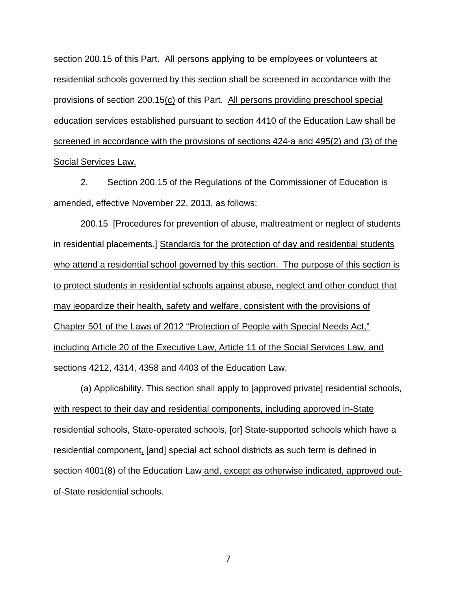section 200.15 of this Part. All persons applying to be employees or volunteers at residential schools governed by this section shall be screened in accordance with the provisions of section 200.15(c) of this Part. All persons providing preschool special education services established pursuant to section 4410 of the Education Law shall be screened in accordance with the provisions of sections 424-a and 495(2) and (3) of the Social Services Law.

2. Section 200.15 of the Regulations of the Commissioner of Education is amended, effective November 22, 2013, as follows:

200.15 [Procedures for prevention of abuse, maltreatment or neglect of students in residential placements.] Standards for the protection of day and residential students who attend a residential school governed by this section. The purpose of this section is to protect students in residential schools against abuse, neglect and other conduct that may jeopardize their health, safety and welfare, consistent with the provisions of Chapter 501 of the Laws of 2012 "Protection of People with Special Needs Act," including Article 20 of the Executive Law, Article 11 of the Social Services Law, and sections 4212, 4314, 4358 and 4403 of the Education Law.

(a) Applicability. This section shall apply to [approved private] residential schools, with respect to their day and residential components, including approved in-State residential schools, State-operated schools, [or] State-supported schools which have a residential component, [and] special act school districts as such term is defined in section 4001(8) of the Education Law and, except as otherwise indicated, approved outof-State residential schools.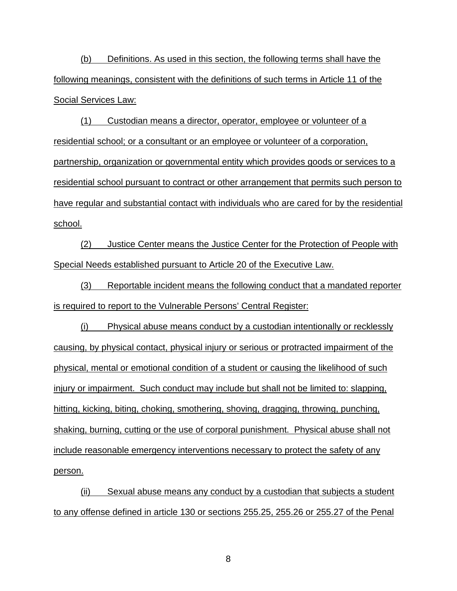(b) Definitions. As used in this section, the following terms shall have the following meanings, consistent with the definitions of such terms in Article 11 of the Social Services Law:

(1) Custodian means a director, operator, employee or volunteer of a residential school; or a consultant or an employee or volunteer of a corporation, partnership, organization or governmental entity which provides goods or services to a residential school pursuant to contract or other arrangement that permits such person to have regular and substantial contact with individuals who are cared for by the residential school.

(2) Justice Center means the Justice Center for the Protection of People with Special Needs established pursuant to Article 20 of the Executive Law.

(3) Reportable incident means the following conduct that a mandated reporter is required to report to the Vulnerable Persons' Central Register:

(i) Physical abuse means conduct by a custodian intentionally or recklessly causing, by physical contact, physical injury or serious or protracted impairment of the physical, mental or emotional condition of a student or causing the likelihood of such injury or impairment. Such conduct may include but shall not be limited to: slapping, hitting, kicking, biting, choking, smothering, shoving, dragging, throwing, punching, shaking, burning, cutting or the use of corporal punishment. Physical abuse shall not include reasonable emergency interventions necessary to protect the safety of any person.

(ii) Sexual abuse means any conduct by a custodian that subjects a student to any offense defined in article 130 or sections 255.25, 255.26 or 255.27 of the Penal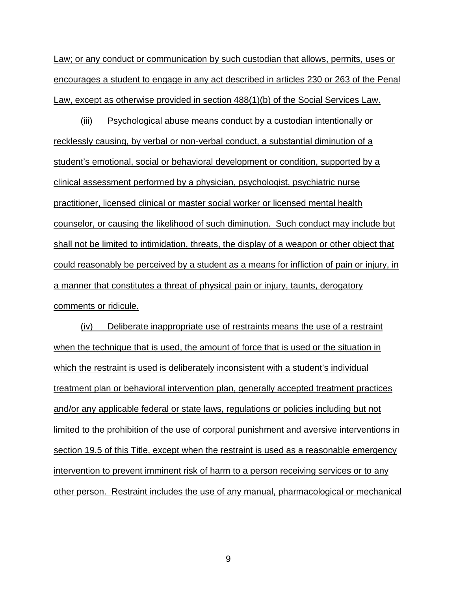Law; or any conduct or communication by such custodian that allows, permits, uses or encourages a student to engage in any act described in articles 230 or 263 of the Penal Law, except as otherwise provided in section 488(1)(b) of the Social Services Law.

(iii) Psychological abuse means conduct by a custodian intentionally or recklessly causing, by verbal or non-verbal conduct, a substantial diminution of a student's emotional, social or behavioral development or condition, supported by a clinical assessment performed by a physician, psychologist, psychiatric nurse practitioner, licensed clinical or master social worker or licensed mental health counselor, or causing the likelihood of such diminution. Such conduct may include but shall not be limited to intimidation, threats, the display of a weapon or other object that could reasonably be perceived by a student as a means for infliction of pain or injury, in a manner that constitutes a threat of physical pain or injury, taunts, derogatory comments or ridicule.

(iv) Deliberate inappropriate use of restraints means the use of a restraint when the technique that is used, the amount of force that is used or the situation in which the restraint is used is deliberately inconsistent with a student's individual treatment plan or behavioral intervention plan, generally accepted treatment practices and/or any applicable federal or state laws, regulations or policies including but not limited to the prohibition of the use of corporal punishment and aversive interventions in section 19.5 of this Title, except when the restraint is used as a reasonable emergency intervention to prevent imminent risk of harm to a person receiving services or to any other person. Restraint includes the use of any manual, pharmacological or mechanical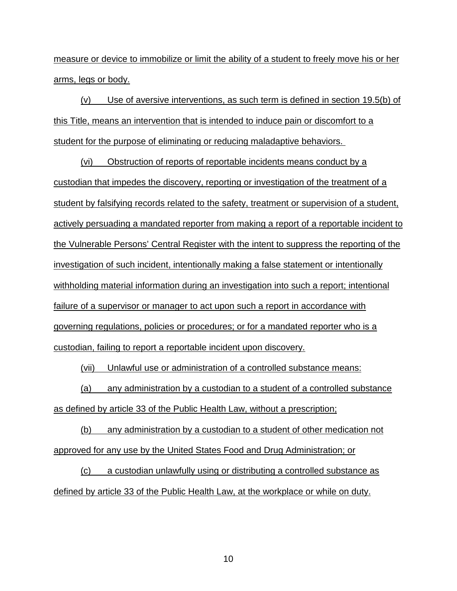measure or device to immobilize or limit the ability of a student to freely move his or her arms, legs or body.

(v) Use of aversive interventions, as such term is defined in section 19.5(b) of this Title, means an intervention that is intended to induce pain or discomfort to a student for the purpose of eliminating or reducing maladaptive behaviors.

(vi) Obstruction of reports of reportable incidents means conduct by a custodian that impedes the discovery, reporting or investigation of the treatment of a student by falsifying records related to the safety, treatment or supervision of a student, actively persuading a mandated reporter from making a report of a reportable incident to the Vulnerable Persons' Central Register with the intent to suppress the reporting of the investigation of such incident, intentionally making a false statement or intentionally withholding material information during an investigation into such a report; intentional failure of a supervisor or manager to act upon such a report in accordance with governing regulations, policies or procedures; or for a mandated reporter who is a custodian, failing to report a reportable incident upon discovery.

(vii) Unlawful use or administration of a controlled substance means:

(a) any administration by a custodian to a student of a controlled substance as defined by article 33 of the Public Health Law, without a prescription;

(b) any administration by a custodian to a student of other medication not approved for any use by the United States Food and Drug Administration; or

(c) a custodian unlawfully using or distributing a controlled substance as defined by article 33 of the Public Health Law, at the workplace or while on duty.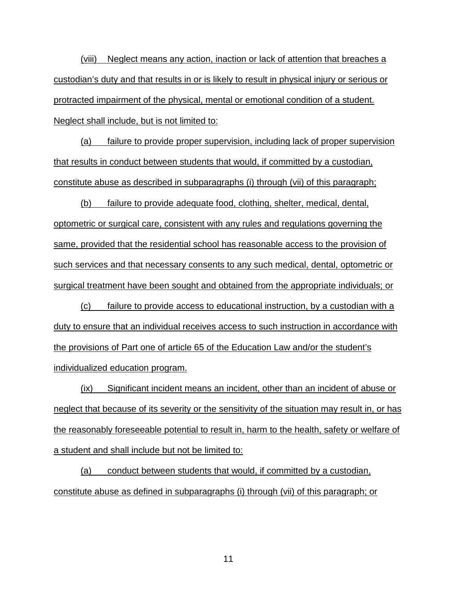(viii) Neglect means any action, inaction or lack of attention that breaches a custodian's duty and that results in or is likely to result in physical injury or serious or protracted impairment of the physical, mental or emotional condition of a student. Neglect shall include, but is not limited to:

(a) failure to provide proper supervision, including lack of proper supervision that results in conduct between students that would, if committed by a custodian, constitute abuse as described in subparagraphs (i) through (vii) of this paragraph;

(b) failure to provide adequate food, clothing, shelter, medical, dental, optometric or surgical care, consistent with any rules and regulations governing the same, provided that the residential school has reasonable access to the provision of such services and that necessary consents to any such medical, dental, optometric or surgical treatment have been sought and obtained from the appropriate individuals; or

(c) failure to provide access to educational instruction, by a custodian with a duty to ensure that an individual receives access to such instruction in accordance with the provisions of Part one of article 65 of the Education Law and/or the student's individualized education program.

(ix) Significant incident means an incident, other than an incident of abuse or neglect that because of its severity or the sensitivity of the situation may result in, or has the reasonably foreseeable potential to result in, harm to the health, safety or welfare of a student and shall include but not be limited to:

(a) conduct between students that would, if committed by a custodian, constitute abuse as defined in subparagraphs (i) through (vii) of this paragraph; or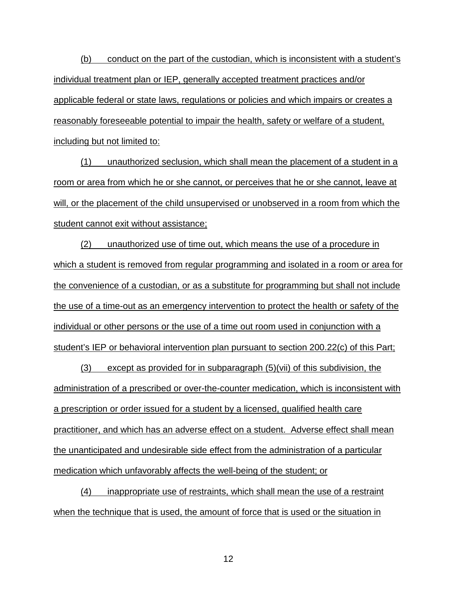(b) conduct on the part of the custodian, which is inconsistent with a student's individual treatment plan or IEP, generally accepted treatment practices and/or applicable federal or state laws, regulations or policies and which impairs or creates a reasonably foreseeable potential to impair the health, safety or welfare of a student, including but not limited to:

(1) unauthorized seclusion, which shall mean the placement of a student in a room or area from which he or she cannot, or perceives that he or she cannot, leave at will, or the placement of the child unsupervised or unobserved in a room from which the student cannot exit without assistance;

(2) unauthorized use of time out, which means the use of a procedure in which a student is removed from regular programming and isolated in a room or area for the convenience of a custodian, or as a substitute for programming but shall not include the use of a time-out as an emergency intervention to protect the health or safety of the individual or other persons or the use of a time out room used in conjunction with a student's IEP or behavioral intervention plan pursuant to section 200.22(c) of this Part;

(3) except as provided for in subparagraph (5)(vii) of this subdivision, the administration of a prescribed or over-the-counter medication, which is inconsistent with a prescription or order issued for a student by a licensed, qualified health care practitioner, and which has an adverse effect on a student. Adverse effect shall mean the unanticipated and undesirable side effect from the administration of a particular medication which unfavorably affects the well-being of the student; or

(4) inappropriate use of restraints, which shall mean the use of a restraint when the technique that is used, the amount of force that is used or the situation in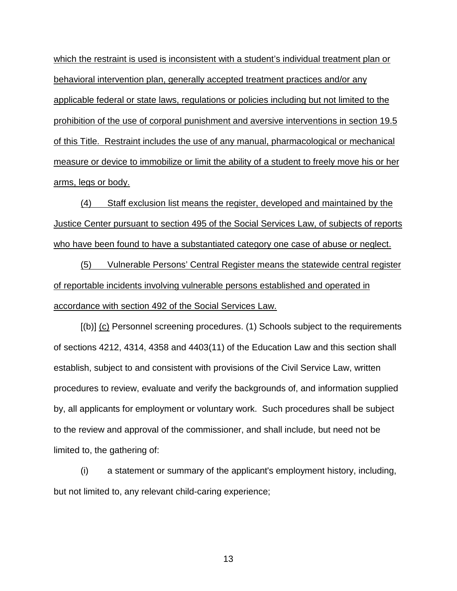which the restraint is used is inconsistent with a student's individual treatment plan or behavioral intervention plan, generally accepted treatment practices and/or any applicable federal or state laws, regulations or policies including but not limited to the prohibition of the use of corporal punishment and aversive interventions in section 19.5 of this Title. Restraint includes the use of any manual, pharmacological or mechanical measure or device to immobilize or limit the ability of a student to freely move his or her arms, legs or body.

(4) Staff exclusion list means the register, developed and maintained by the Justice Center pursuant to section 495 of the Social Services Law, of subjects of reports who have been found to have a substantiated category one case of abuse or neglect.

(5) Vulnerable Persons' Central Register means the statewide central register of reportable incidents involving vulnerable persons established and operated in accordance with section 492 of the Social Services Law.

 $[(b)]$  (c) Personnel screening procedures. (1) Schools subject to the requirements of sections 4212, 4314, 4358 and 4403(11) of the Education Law and this section shall establish, subject to and consistent with provisions of the Civil Service Law, written procedures to review, evaluate and verify the backgrounds of, and information supplied by, all applicants for employment or voluntary work. Such procedures shall be subject to the review and approval of the commissioner, and shall include, but need not be limited to, the gathering of:

(i) a statement or summary of the applicant's employment history, including, but not limited to, any relevant child-caring experience;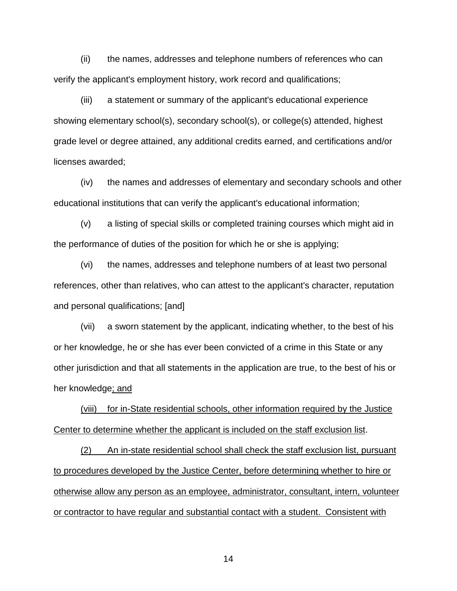(ii) the names, addresses and telephone numbers of references who can verify the applicant's employment history, work record and qualifications;

(iii) a statement or summary of the applicant's educational experience showing elementary school(s), secondary school(s), or college(s) attended, highest grade level or degree attained, any additional credits earned, and certifications and/or licenses awarded;

(iv) the names and addresses of elementary and secondary schools and other educational institutions that can verify the applicant's educational information;

(v) a listing of special skills or completed training courses which might aid in the performance of duties of the position for which he or she is applying;

(vi) the names, addresses and telephone numbers of at least two personal references, other than relatives, who can attest to the applicant's character, reputation and personal qualifications; [and]

(vii) a sworn statement by the applicant, indicating whether, to the best of his or her knowledge, he or she has ever been convicted of a crime in this State or any other jurisdiction and that all statements in the application are true, to the best of his or her knowledge; and

(viii) for in-State residential schools, other information required by the Justice Center to determine whether the applicant is included on the staff exclusion list.

(2) An in-state residential school shall check the staff exclusion list, pursuant to procedures developed by the Justice Center, before determining whether to hire or otherwise allow any person as an employee, administrator, consultant, intern, volunteer or contractor to have regular and substantial contact with a student. Consistent with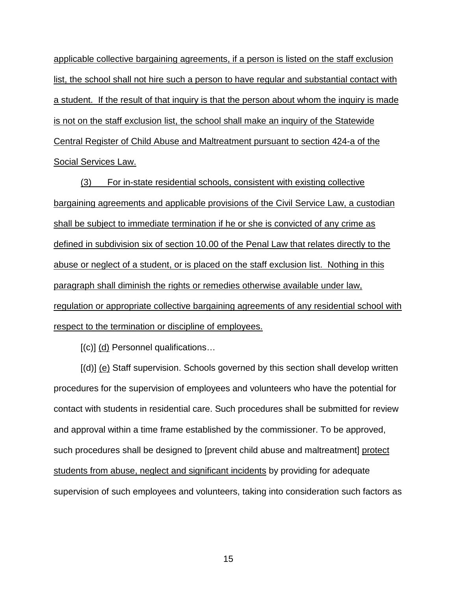applicable collective bargaining agreements, if a person is listed on the staff exclusion list, the school shall not hire such a person to have regular and substantial contact with a student. If the result of that inquiry is that the person about whom the inquiry is made is not on the staff exclusion list, the school shall make an inquiry of the Statewide Central Register of Child Abuse and Maltreatment pursuant to section 424-a of the Social Services Law.

(3) For in-state residential schools, consistent with existing collective bargaining agreements and applicable provisions of the Civil Service Law, a custodian shall be subject to immediate termination if he or she is convicted of any crime as defined in subdivision six of section 10.00 of the Penal Law that relates directly to the abuse or neglect of a student, or is placed on the staff exclusion list. Nothing in this paragraph shall diminish the rights or remedies otherwise available under law, regulation or appropriate collective bargaining agreements of any residential school with respect to the termination or discipline of employees.

 $[(c)]$  (d) Personnel qualifications...

[(d)] (e) Staff supervision. Schools governed by this section shall develop written procedures for the supervision of employees and volunteers who have the potential for contact with students in residential care. Such procedures shall be submitted for review and approval within a time frame established by the commissioner. To be approved, such procedures shall be designed to [prevent child abuse and maltreatment] protect students from abuse, neglect and significant incidents by providing for adequate supervision of such employees and volunteers, taking into consideration such factors as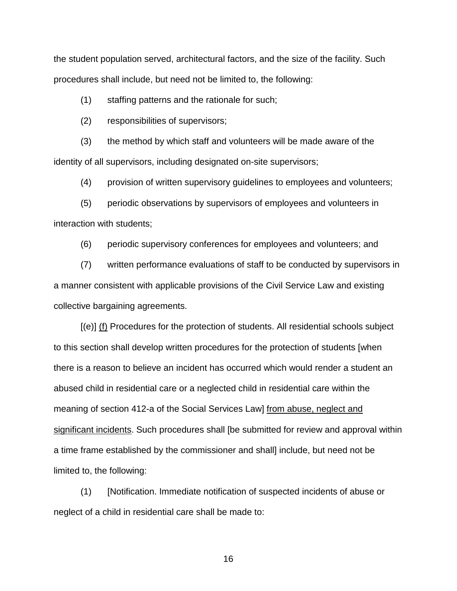the student population served, architectural factors, and the size of the facility. Such procedures shall include, but need not be limited to, the following:

(1) staffing patterns and the rationale for such;

(2) responsibilities of supervisors;

(3) the method by which staff and volunteers will be made aware of the identity of all supervisors, including designated on-site supervisors;

(4) provision of written supervisory guidelines to employees and volunteers;

(5) periodic observations by supervisors of employees and volunteers in interaction with students;

(6) periodic supervisory conferences for employees and volunteers; and

(7) written performance evaluations of staff to be conducted by supervisors in a manner consistent with applicable provisions of the Civil Service Law and existing collective bargaining agreements.

 $[(e)]$  (f) Procedures for the protection of students. All residential schools subject to this section shall develop written procedures for the protection of students [when there is a reason to believe an incident has occurred which would render a student an abused child in residential care or a neglected child in residential care within the meaning of section 412-a of the Social Services Law] from abuse, neglect and significant incidents. Such procedures shall [be submitted for review and approval within a time frame established by the commissioner and shall] include, but need not be limited to, the following:

(1) [Notification. Immediate notification of suspected incidents of abuse or neglect of a child in residential care shall be made to: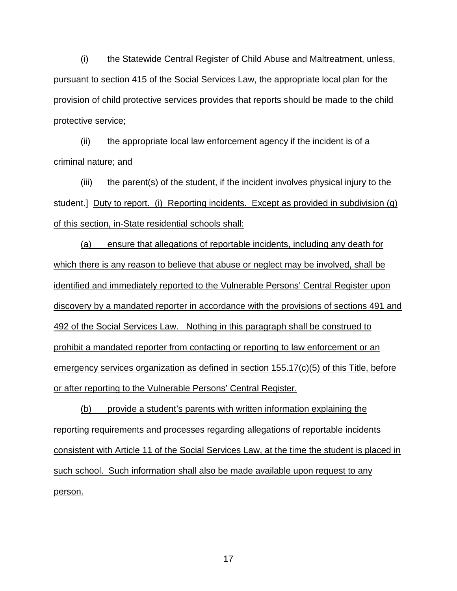(i) the Statewide Central Register of Child Abuse and Maltreatment, unless, pursuant to section 415 of the Social Services Law, the appropriate local plan for the provision of child protective services provides that reports should be made to the child protective service;

(ii) the appropriate local law enforcement agency if the incident is of a criminal nature; and

(iii) the parent(s) of the student, if the incident involves physical injury to the student.] Duty to report. (i) Reporting incidents. Except as provided in subdivision (g) of this section, in-State residential schools shall:

(a) ensure that allegations of reportable incidents, including any death for which there is any reason to believe that abuse or neglect may be involved, shall be identified and immediately reported to the Vulnerable Persons' Central Register upon discovery by a mandated reporter in accordance with the provisions of sections 491 and 492 of the Social Services Law. Nothing in this paragraph shall be construed to prohibit a mandated reporter from contacting or reporting to law enforcement or an emergency services organization as defined in section 155.17(c)(5) of this Title, before or after reporting to the Vulnerable Persons' Central Register.

(b) provide a student's parents with written information explaining the reporting requirements and processes regarding allegations of reportable incidents consistent with Article 11 of the Social Services Law, at the time the student is placed in such school. Such information shall also be made available upon request to any person.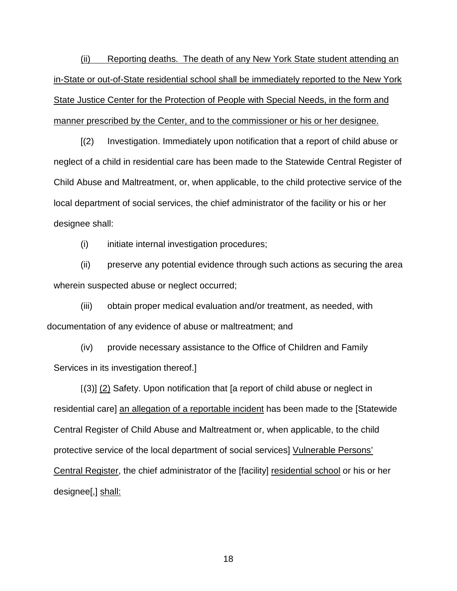(ii) Reporting deaths. The death of any New York State student attending an in-State or out-of-State residential school shall be immediately reported to the New York State Justice Center for the Protection of People with Special Needs, in the form and manner prescribed by the Center, and to the commissioner or his or her designee.

[(2) Investigation. Immediately upon notification that a report of child abuse or neglect of a child in residential care has been made to the Statewide Central Register of Child Abuse and Maltreatment, or, when applicable, to the child protective service of the local department of social services, the chief administrator of the facility or his or her designee shall:

(i) initiate internal investigation procedures;

(ii) preserve any potential evidence through such actions as securing the area wherein suspected abuse or neglect occurred;

(iii) obtain proper medical evaluation and/or treatment, as needed, with documentation of any evidence of abuse or maltreatment; and

(iv) provide necessary assistance to the Office of Children and Family Services in its investigation thereof.]

[(3)] (2) Safety. Upon notification that [a report of child abuse or neglect in residential care] an allegation of a reportable incident has been made to the [Statewide Central Register of Child Abuse and Maltreatment or, when applicable, to the child protective service of the local department of social services] Vulnerable Persons' Central Register, the chief administrator of the [facility] residential school or his or her designee[,] shall: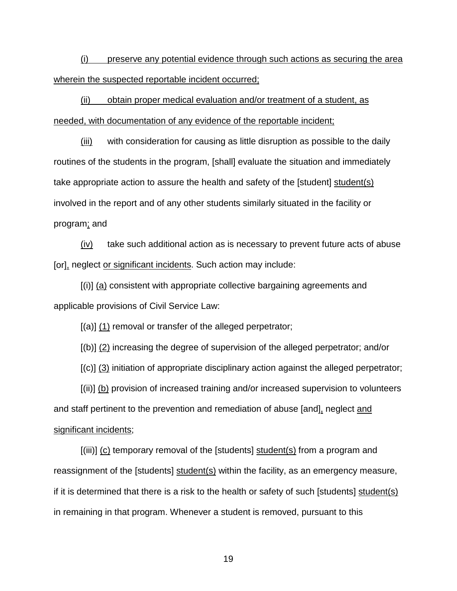(i) preserve any potential evidence through such actions as securing the area wherein the suspected reportable incident occurred;

(ii) obtain proper medical evaluation and/or treatment of a student, as needed, with documentation of any evidence of the reportable incident;

(iii) with consideration for causing as little disruption as possible to the daily routines of the students in the program, [shall] evaluate the situation and immediately take appropriate action to assure the health and safety of the [student] student(s) involved in the report and of any other students similarly situated in the facility or program; and

 $(iv)$  take such additional action as is necessary to prevent future acts of abuse [or], neglect or significant incidents. Such action may include:

[(i)] (a) consistent with appropriate collective bargaining agreements and applicable provisions of Civil Service Law:

 $[(a)]$  (1) removal or transfer of the alleged perpetrator;

[(b)] (2) increasing the degree of supervision of the alleged perpetrator; and/or

[(c)] (3) initiation of appropriate disciplinary action against the alleged perpetrator;

[(ii)] (b) provision of increased training and/or increased supervision to volunteers and staff pertinent to the prevention and remediation of abuse [and], neglect and significant incidents;

 $[(iii)]$  (c) temporary removal of the [students] student(s) from a program and reassignment of the [students] student(s) within the facility, as an emergency measure, if it is determined that there is a risk to the health or safety of such [students] student(s) in remaining in that program. Whenever a student is removed, pursuant to this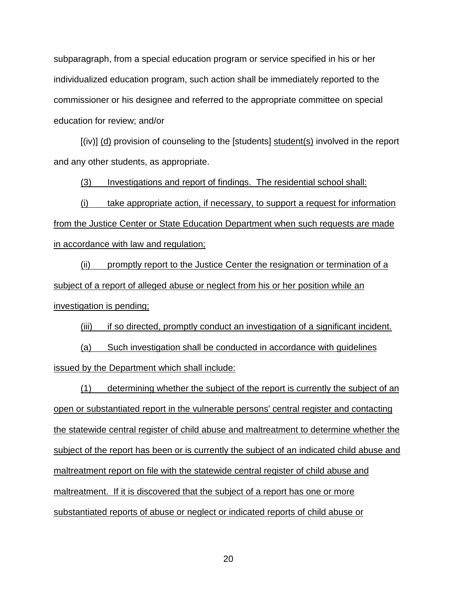subparagraph, from a special education program or service specified in his or her individualized education program, such action shall be immediately reported to the commissioner or his designee and referred to the appropriate committee on special education for review; and/or

[(iv)] (d) provision of counseling to the [students] student(s) involved in the report and any other students, as appropriate.

(3) Investigations and report of findings. The residential school shall:

(i) take appropriate action, if necessary, to support a request for information from the Justice Center or State Education Department when such requests are made in accordance with law and regulation;

(ii) promptly report to the Justice Center the resignation or termination of a subject of a report of alleged abuse or neglect from his or her position while an investigation is pending;

(iii) if so directed, promptly conduct an investigation of a significant incident. (a) Such investigation shall be conducted in accordance with guidelines issued by the Department which shall include:

(1) determining whether the subject of the report is currently the subject of an open or substantiated report in the vulnerable persons' central register and contacting the statewide central register of child abuse and maltreatment to determine whether the subject of the report has been or is currently the subject of an indicated child abuse and maltreatment report on file with the statewide central register of child abuse and maltreatment. If it is discovered that the subject of a report has one or more substantiated reports of abuse or neglect or indicated reports of child abuse or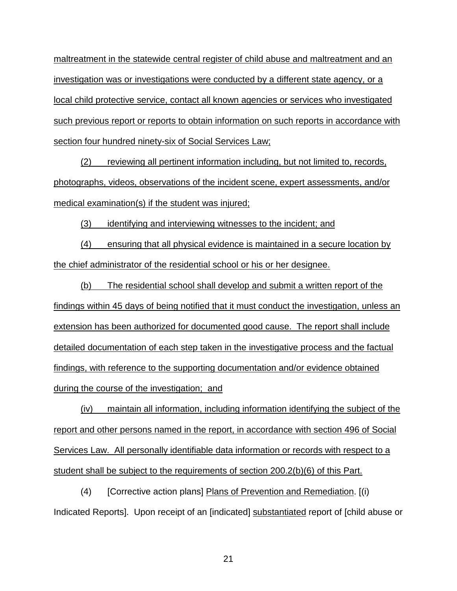maltreatment in the statewide central register of child abuse and maltreatment and an investigation was or investigations were conducted by a different state agency, or a local child protective service, contact all known agencies or services who investigated such previous report or reports to obtain information on such reports in accordance with section four hundred ninety-six of Social Services Law;

(2) reviewing all pertinent information including, but not limited to, records, photographs, videos, observations of the incident scene, expert assessments, and/or medical examination(s) if the student was injured;

(3) identifying and interviewing witnesses to the incident; and

(4) ensuring that all physical evidence is maintained in a secure location by the chief administrator of the residential school or his or her designee.

(b) The residential school shall develop and submit a written report of the findings within 45 days of being notified that it must conduct the investigation, unless an extension has been authorized for documented good cause. The report shall include detailed documentation of each step taken in the investigative process and the factual findings, with reference to the supporting documentation and/or evidence obtained during the course of the investigation; and

(iv) maintain all information, including information identifying the subject of the report and other persons named in the report, in accordance with section 496 of Social Services Law. All personally identifiable data information or records with respect to a student shall be subject to the requirements of section 200.2(b)(6) of this Part.

(4) [Corrective action plans] Plans of Prevention and Remediation. [(i) Indicated Reports]. Upon receipt of an [indicated] substantiated report of [child abuse or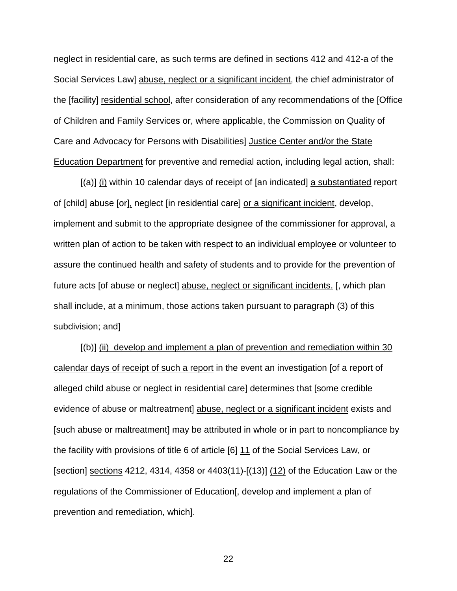neglect in residential care, as such terms are defined in sections 412 and 412-a of the Social Services Law] abuse, neglect or a significant incident, the chief administrator of the [facility] residential school, after consideration of any recommendations of the [Office of Children and Family Services or, where applicable, the Commission on Quality of Care and Advocacy for Persons with Disabilities] Justice Center and/or the State Education Department for preventive and remedial action, including legal action, shall:

[(a)] (i) within 10 calendar days of receipt of [an indicated] a substantiated report of [child] abuse [or], neglect [in residential care] or a significant incident, develop, implement and submit to the appropriate designee of the commissioner for approval, a written plan of action to be taken with respect to an individual employee or volunteer to assure the continued health and safety of students and to provide for the prevention of future acts [of abuse or neglect] abuse, neglect or significant incidents. [, which plan shall include, at a minimum, those actions taken pursuant to paragraph (3) of this subdivision; and]

 $[(b)]$  (ii) develop and implement a plan of prevention and remediation within 30 calendar days of receipt of such a report in the event an investigation [of a report of alleged child abuse or neglect in residential care] determines that [some credible evidence of abuse or maltreatment] abuse, neglect or a significant incident exists and [such abuse or maltreatment] may be attributed in whole or in part to noncompliance by the facility with provisions of title 6 of article [6] 11 of the Social Services Law, or [section] sections 4212, 4314, 4358 or 4403(11)-[(13)] (12) of the Education Law or the regulations of the Commissioner of Education[, develop and implement a plan of prevention and remediation, which].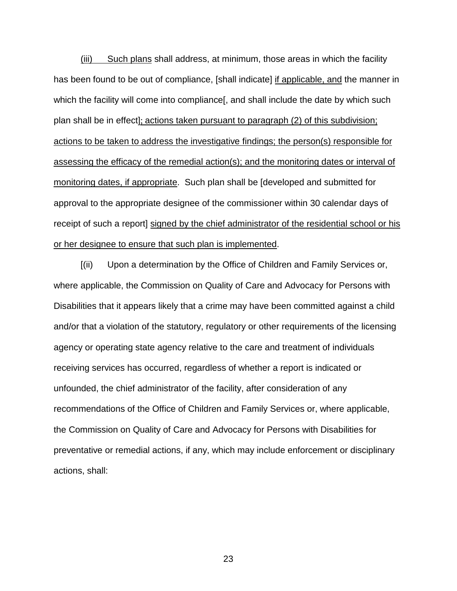(iii) Such plans shall address, at minimum, those areas in which the facility has been found to be out of compliance, [shall indicate] if applicable, and the manner in which the facility will come into compliance [, and shall include the date by which such plan shall be in effect]; actions taken pursuant to paragraph (2) of this subdivision; actions to be taken to address the investigative findings; the person(s) responsible for assessing the efficacy of the remedial action(s); and the monitoring dates or interval of monitoring dates, if appropriate. Such plan shall be [developed and submitted for approval to the appropriate designee of the commissioner within 30 calendar days of receipt of such a report] signed by the chief administrator of the residential school or his or her designee to ensure that such plan is implemented.

[(ii) Upon a determination by the Office of Children and Family Services or, where applicable, the Commission on Quality of Care and Advocacy for Persons with Disabilities that it appears likely that a crime may have been committed against a child and/or that a violation of the statutory, regulatory or other requirements of the licensing agency or operating state agency relative to the care and treatment of individuals receiving services has occurred, regardless of whether a report is indicated or unfounded, the chief administrator of the facility, after consideration of any recommendations of the Office of Children and Family Services or, where applicable, the Commission on Quality of Care and Advocacy for Persons with Disabilities for preventative or remedial actions, if any, which may include enforcement or disciplinary actions, shall: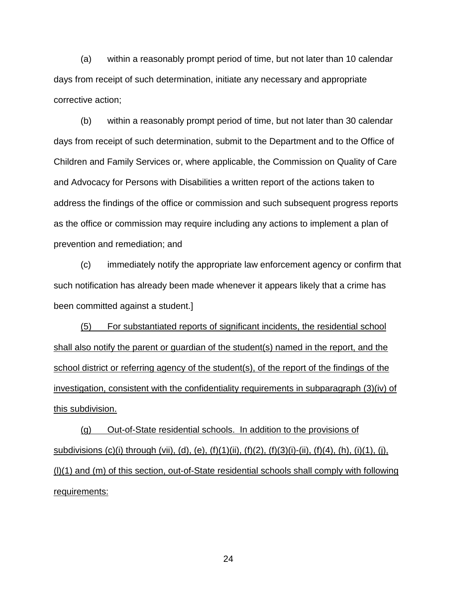(a) within a reasonably prompt period of time, but not later than 10 calendar days from receipt of such determination, initiate any necessary and appropriate corrective action;

(b) within a reasonably prompt period of time, but not later than 30 calendar days from receipt of such determination, submit to the Department and to the Office of Children and Family Services or, where applicable, the Commission on Quality of Care and Advocacy for Persons with Disabilities a written report of the actions taken to address the findings of the office or commission and such subsequent progress reports as the office or commission may require including any actions to implement a plan of prevention and remediation; and

(c) immediately notify the appropriate law enforcement agency or confirm that such notification has already been made whenever it appears likely that a crime has been committed against a student.]

(5) For substantiated reports of significant incidents, the residential school shall also notify the parent or guardian of the student(s) named in the report, and the school district or referring agency of the student(s), of the report of the findings of the investigation, consistent with the confidentiality requirements in subparagraph (3)(iv) of this subdivision.

(g) Out-of-State residential schools. In addition to the provisions of subdivisions (c)(i) through (vii), (d), (e), (f)(1)(ii), (f)(2), (f)(3)(i)-(ii), (f)(4), (h), (i)(1), (j), (l)(1) and (m) of this section, out-of-State residential schools shall comply with following requirements: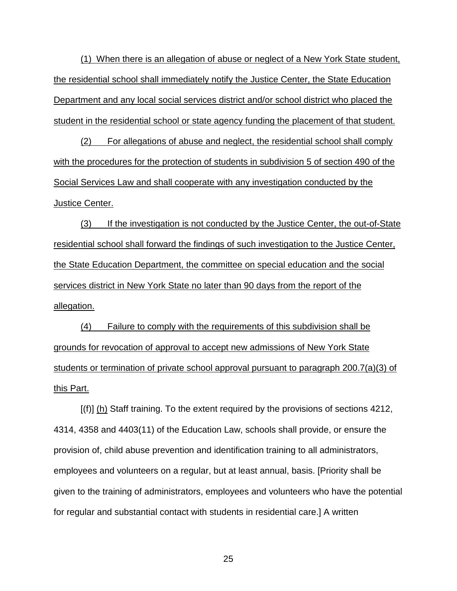(1) When there is an allegation of abuse or neglect of a New York State student, the residential school shall immediately notify the Justice Center, the State Education Department and any local social services district and/or school district who placed the student in the residential school or state agency funding the placement of that student.

(2) For allegations of abuse and neglect, the residential school shall comply with the procedures for the protection of students in subdivision 5 of section 490 of the Social Services Law and shall cooperate with any investigation conducted by the Justice Center.

(3) If the investigation is not conducted by the Justice Center, the out-of-State residential school shall forward the findings of such investigation to the Justice Center, the State Education Department, the committee on special education and the social services district in New York State no later than 90 days from the report of the allegation.

(4) Failure to comply with the requirements of this subdivision shall be grounds for revocation of approval to accept new admissions of New York State students or termination of private school approval pursuant to paragraph 200.7(a)(3) of this Part.

[(f)] (h) Staff training. To the extent required by the provisions of sections 4212, 4314, 4358 and 4403(11) of the Education Law, schools shall provide, or ensure the provision of, child abuse prevention and identification training to all administrators, employees and volunteers on a regular, but at least annual, basis. [Priority shall be given to the training of administrators, employees and volunteers who have the potential for regular and substantial contact with students in residential care.] A written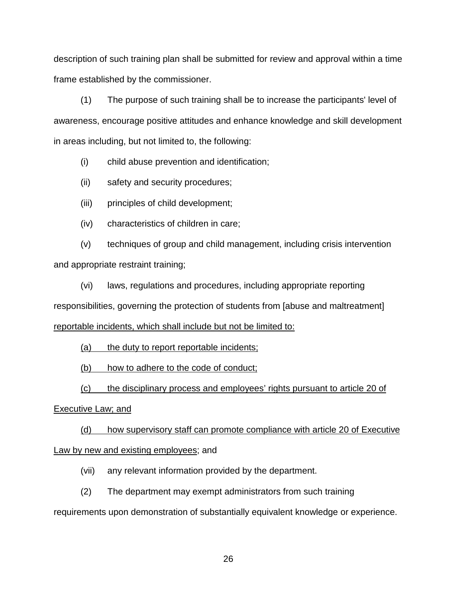description of such training plan shall be submitted for review and approval within a time frame established by the commissioner.

(1) The purpose of such training shall be to increase the participants' level of awareness, encourage positive attitudes and enhance knowledge and skill development in areas including, but not limited to, the following:

- (i) child abuse prevention and identification;
- (ii) safety and security procedures;
- (iii) principles of child development;
- (iv) characteristics of children in care;

(v) techniques of group and child management, including crisis intervention and appropriate restraint training;

(vi) laws, regulations and procedures, including appropriate reporting responsibilities, governing the protection of students from [abuse and maltreatment] reportable incidents, which shall include but not be limited to:

(a) the duty to report reportable incidents;

(b) how to adhere to the code of conduct;

(c) the disciplinary process and employees' rights pursuant to article 20 of

#### Executive Law; and

(d) how supervisory staff can promote compliance with article 20 of Executive Law by new and existing employees; and

- (vii) any relevant information provided by the department.
- (2) The department may exempt administrators from such training

requirements upon demonstration of substantially equivalent knowledge or experience.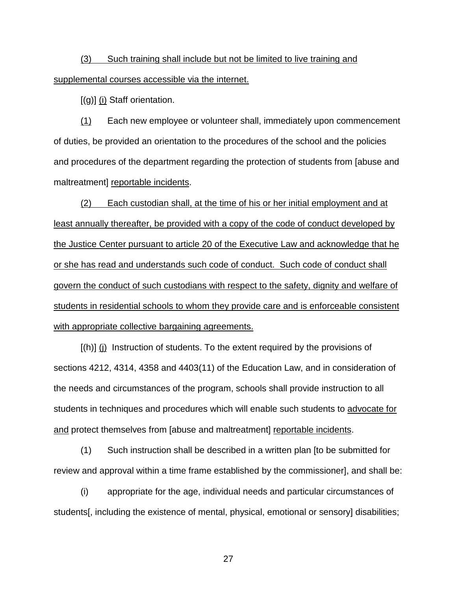# (3) Such training shall include but not be limited to live training and supplemental courses accessible via the internet.

[(g)] (i) Staff orientation.

(1) Each new employee or volunteer shall, immediately upon commencement of duties, be provided an orientation to the procedures of the school and the policies and procedures of the department regarding the protection of students from [abuse and maltreatment] reportable incidents.

(2) Each custodian shall, at the time of his or her initial employment and at least annually thereafter, be provided with a copy of the code of conduct developed by the Justice Center pursuant to article 20 of the Executive Law and acknowledge that he or she has read and understands such code of conduct. Such code of conduct shall govern the conduct of such custodians with respect to the safety, dignity and welfare of students in residential schools to whom they provide care and is enforceable consistent with appropriate collective bargaining agreements.

[(h)] (j) Instruction of students. To the extent required by the provisions of sections 4212, 4314, 4358 and 4403(11) of the Education Law, and in consideration of the needs and circumstances of the program, schools shall provide instruction to all students in techniques and procedures which will enable such students to advocate for and protect themselves from [abuse and maltreatment] reportable incidents.

(1) Such instruction shall be described in a written plan [to be submitted for review and approval within a time frame established by the commissioner], and shall be:

(i) appropriate for the age, individual needs and particular circumstances of students[, including the existence of mental, physical, emotional or sensory] disabilities;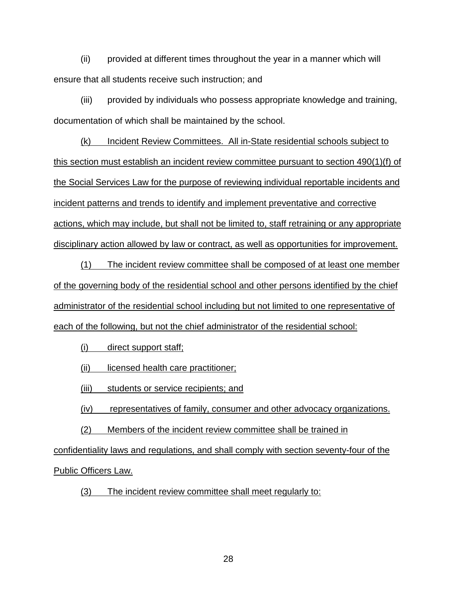(ii) provided at different times throughout the year in a manner which will ensure that all students receive such instruction; and

(iii) provided by individuals who possess appropriate knowledge and training, documentation of which shall be maintained by the school.

(k) Incident Review Committees. All in-State residential schools subject to this section must establish an incident review committee pursuant to section 490(1)(f) of the Social Services Law for the purpose of reviewing individual reportable incidents and incident patterns and trends to identify and implement preventative and corrective actions, which may include, but shall not be limited to, staff retraining or any appropriate disciplinary action allowed by law or contract, as well as opportunities for improvement.

(1) The incident review committee shall be composed of at least one member of the governing body of the residential school and other persons identified by the chief administrator of the residential school including but not limited to one representative of each of the following, but not the chief administrator of the residential school:

(i) direct support staff;

(ii) licensed health care practitioner;

(iii) students or service recipients; and

(iv) representatives of family, consumer and other advocacy organizations.

(2) Members of the incident review committee shall be trained in

confidentiality laws and regulations, and shall comply with section seventy-four of the Public Officers Law.

(3) The incident review committee shall meet regularly to: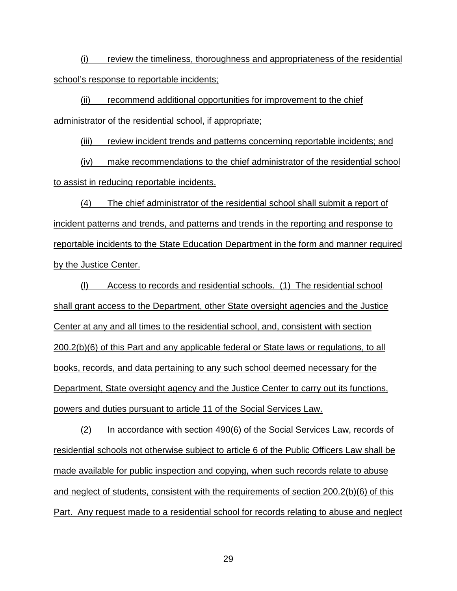(i) review the timeliness, thoroughness and appropriateness of the residential school's response to reportable incidents;

(ii) recommend additional opportunities for improvement to the chief administrator of the residential school, if appropriate;

(iii) review incident trends and patterns concerning reportable incidents; and

(iv) make recommendations to the chief administrator of the residential school to assist in reducing reportable incidents.

(4) The chief administrator of the residential school shall submit a report of incident patterns and trends, and patterns and trends in the reporting and response to reportable incidents to the State Education Department in the form and manner required by the Justice Center.

(l) Access to records and residential schools. (1) The residential school shall grant access to the Department, other State oversight agencies and the Justice Center at any and all times to the residential school, and, consistent with section 200.2(b)(6) of this Part and any applicable federal or State laws or regulations, to all books, records, and data pertaining to any such school deemed necessary for the Department, State oversight agency and the Justice Center to carry out its functions, powers and duties pursuant to article 11 of the Social Services Law.

(2) In accordance with section 490(6) of the Social Services Law, records of residential schools not otherwise subject to article 6 of the Public Officers Law shall be made available for public inspection and copying, when such records relate to abuse and neglect of students, consistent with the requirements of section 200.2(b)(6) of this Part. Any request made to a residential school for records relating to abuse and neglect